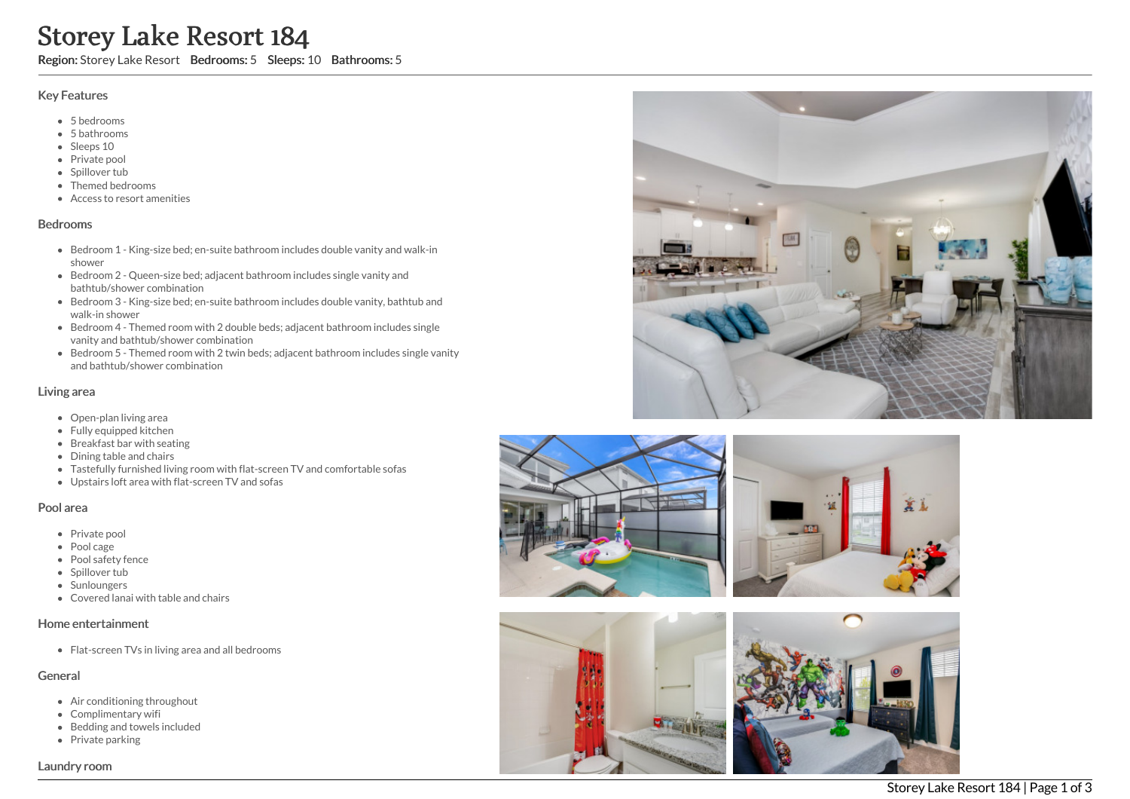# Storey Lake Resort 184

Region: Storey Lake Resort Bedrooms: 5 Sleeps: 10 Bathrooms: 5

### Key Features

- 5 b e d r o o m s
- 5 b a t h r o o m s
- Sleeps 10
- Private pool
- Spillover tub
- Themed bedr o o m s
- Access to resort amenities

#### **Bedrooms**

- Bedroom 1 King-size bed; en-suite bathroom includes double vanity and walk-in s h o w e r
- Bedroom 2 Queen-size bed; adjacent bathroom includes single vanity and bathtub/shower combination
- Bedroom 3 King-size bed; en-suite bathroom includes double vanity, bathtub and walk-in shower
- Bedroom 4 Themed room with 2 double beds; adjacent bathroom includes single vanity and bathtub/shower combination
- Bedroom 5 Themed room with 2 twin beds; adjacent bathroom includes single vanity and bathtub/shower combination

### Living area

- Open-plan living area
- Fully equipped kitchen
- Breakfast bar with seating
- Dining table and chairs
- Tastefully furnished living room with flat-screen TV and comfortable sofas
- Upstairs loft area with flat-screen TV and sofas

### Pool area

- Private pool
- Pool cage
- Pool safety fence
- Spillover tub
- **Sunloungers**
- Covered lanai with table and chairs

### Home entertainment

Flat-screen TVs in living area and all bedrooms

## General

- Air conditioning throughout
- Complimentary wifi
- Bedding and towels in clu d e d
- Private parking





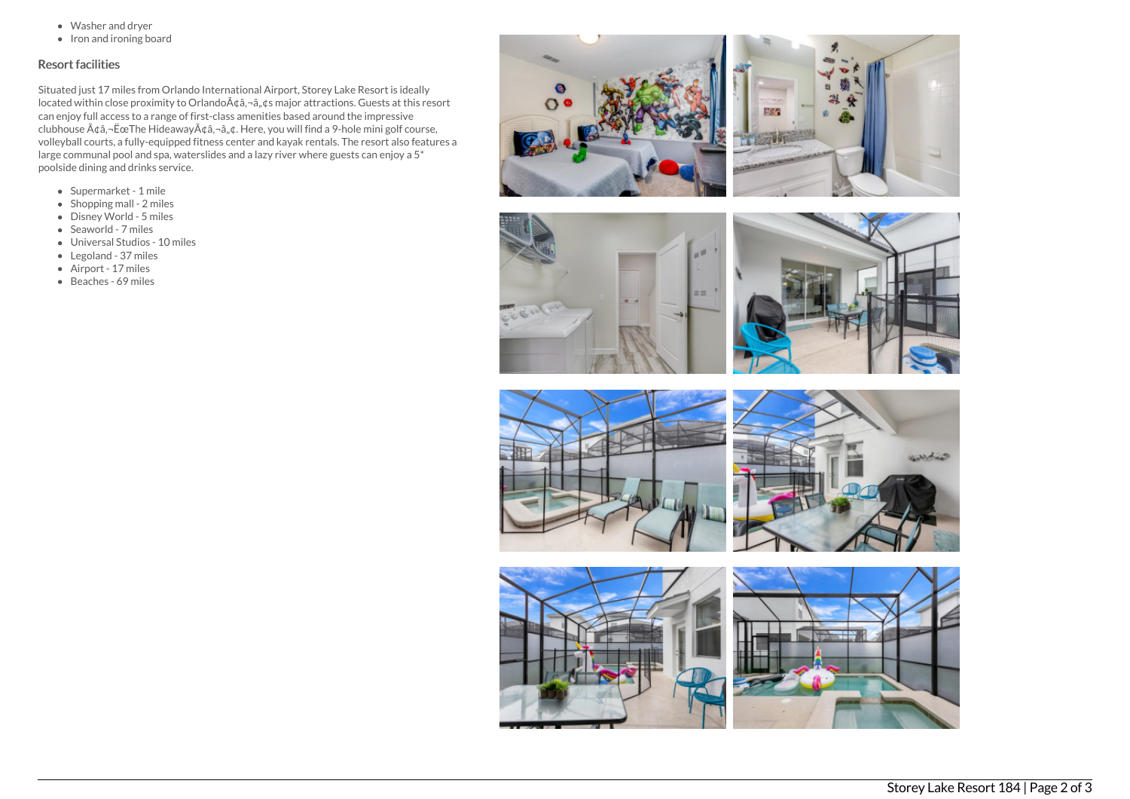- Washer and dryer
- $\bullet$  Iron and ironing board

## Resort facilities

Situated just 17 miles from Orlando International Airport, Storey Lake Resort is ideally located within close proximity to Orlando $\tilde{A}$  $\hat{\alpha}$ , $\tilde{\alpha}$ , $\hat{\alpha}$  major attractions. Guests at this resort can enjoy full access to a range of first-class amenities based around the impressive clubhouse  $\tilde{A} \phi \tilde{a}$ ,  $\tilde{E}$ ce The Hideaway $\tilde{A} \phi \tilde{a}$ ,  $\tilde{a}$ ,  $\phi$ . Here, you will find a 9-hole mini golf course, volleyball courts, a fully-equipped fitness center and kayak rentals. The resort also features a large communal pool and spa, waterslides and a lazy river where guests can enjoy a 5\* poolside dining and drinks service.

- Supermarket 1 mile
- $\bullet$  Shopping mall 2 miles
- Disney World 5 miles
- Seaworld 7 miles
- Universal Studios 10 miles
- Legoland 37 miles
- Airport 17 miles
- Beaches 69 miles



 $\overline{1}$